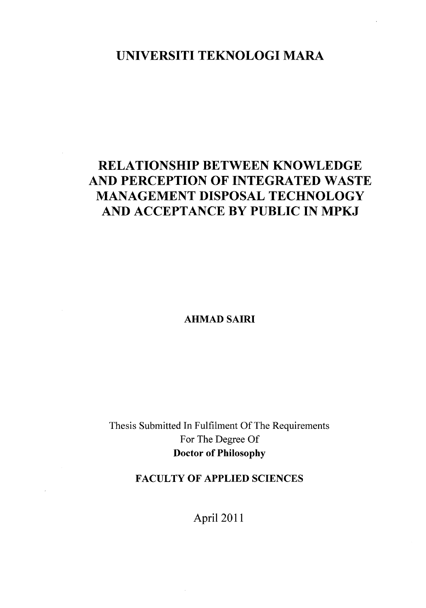## **UNIVERSITI TEKNOLOGI MARA**

# **RELATIONSHIP BETWEEN KNOWLEDGE AND PERCEPTION OF INTEGRATED WASTE MANAGEMENT DISPOSAL TECHNOLOGY AND ACCEPTANCE BY PUBLIC IN MPKJ**

**AHMAD SAIRI** 

Thesis Submitted In Fulfilment Of The Requirements For The Degree Of **Doctor of Philosophy** 

### **FACULTY OF APPLIED SCIENCES**

**April 2011**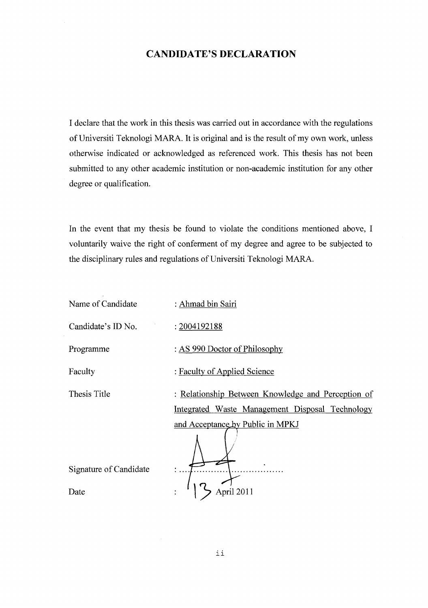#### CANDIDATE'S DECLARATION

I declare that the work in this thesis was carried out in accordance with the regulations of Universiti Teknologi MARA. It is original and is the result of my own work, unless otherwise indicated or acknowledged as referenced work. This thesis has not been submitted to any other academic institution or non-academic institution for any other degree or qualification.

In the event that my thesis be found to violate the conditions mentioned above, I voluntarily waive the right of conferment of my degree and agree to be subjected to the disciplinary rules and regulations of Universiti Teknologi MARA.

| Name of Candidate      | : Ahmad bin Sairi                                  |
|------------------------|----------------------------------------------------|
| Candidate's ID No.     | : 2004192188                                       |
| Programme              | : AS 990 Doctor of Philosophy                      |
| Faculty                | : Faculty of Applied Science                       |
| Thesis Title           | : Relationship Between Knowledge and Perception of |
|                        | Integrated Waste Management Disposal Technology    |
|                        | and Acceptance by Public in MPKJ                   |
|                        |                                                    |
| Signature of Candidate |                                                    |
| Date                   |                                                    |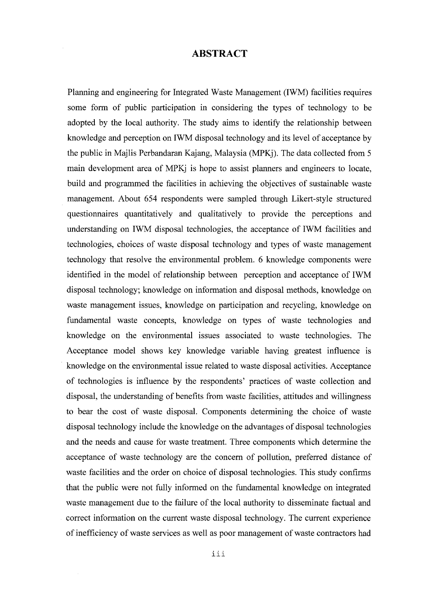#### ABSTRACT

Planning and engineering for Integrated Waste Management (IWM) facilities requires some form of public participation in considering the types of technology to be adopted by the local authority. The study aims to identify the relationship between knowledge and perception on IWM disposal technology and its level of acceptance by the public in Majlis Perbandaran Kajang, Malaysia (MPKj). The data collected from 5 main development area of MPKj is hope to assist planners and engineers to locate, build and programmed the facilities in achieving the objectives of sustainable waste management. About 654 respondents were sampled through Likert-style structured questionnaires quantitatively and qualitatively to provide the perceptions and understanding on IWM disposal technologies, the acceptance of IWM facilities and technologies, choices of waste disposal technology and types of waste management technology that resolve the environmental problem. 6 knowledge components were identified in the model of relationship between perception and acceptance of IWM disposal technology; knowledge on information and disposal methods, knowledge on waste management issues, knowledge on participation and recycling, knowledge on fundamental waste concepts, knowledge on types of waste technologies and knowledge on the environmental issues associated to waste technologies. The Acceptance model shows key knowledge variable having greatest influence is knowledge on the environmental issue related to waste disposal activities. Acceptance of technologies is influence by the respondents' practices of waste collection and disposal, the understanding of benefits from waste facilities, attitudes and willingness to bear the cost of waste disposal. Components determining the choice of waste disposal technology include the knowledge on the advantages of disposal technologies and the needs and cause for waste treatment. Three components which determine the acceptance of waste technology are the concern of pollution, preferred distance of waste facilities and the order on choice of disposal technologies. This study confirms that the public were not fully informed on the fundamental knowledge on integrated waste management due to the failure of the local authority to disseminate factual and correct information on the current waste disposal technology. The current experience of inefficiency of waste services as well as poor management of waste contractors had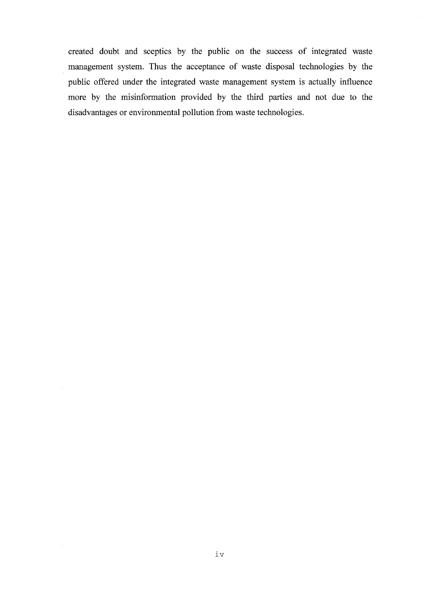created doubt and sceptics by the public on the success of integrated waste management system. Thus the acceptance of waste disposal technologies by the public offered under the integrated waste management system is actually influence more by the misinformation provided by the third parties and not due to the disadvantages or environmental pollution from waste technologies.